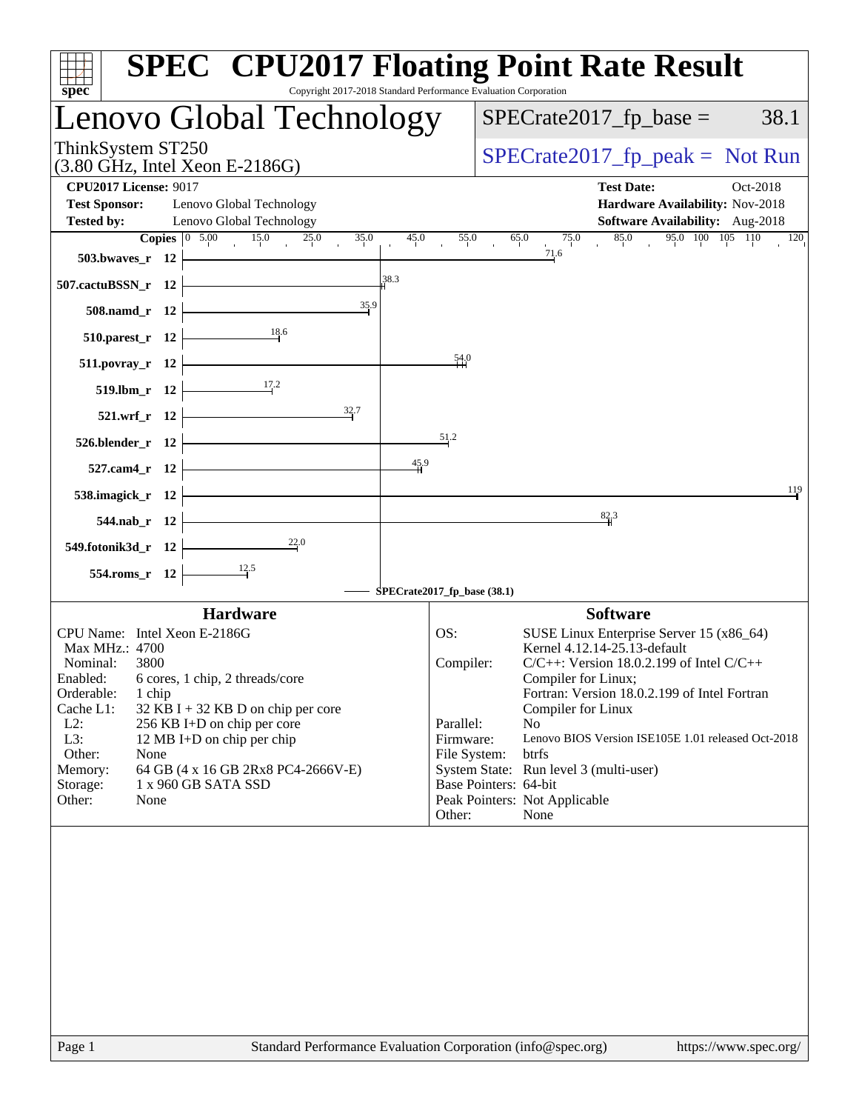| Copyright 2017-2018 Standard Performance Evaluation Corporation<br>$spec^*$                       |                             | <b>SPEC<sup>®</sup> CPU2017 Floating Point Rate Result</b>               |
|---------------------------------------------------------------------------------------------------|-----------------------------|--------------------------------------------------------------------------|
| Lenovo Global Technology                                                                          |                             | $SPECrate2017_fp\_base =$<br>38.1                                        |
| ThinkSystem ST250<br>$(3.80 \text{ GHz}, \text{Intel Xeon E-2186G})$                              |                             | $SPECrate2017_fp\_peak = Not Run$                                        |
| <b>CPU2017 License: 9017</b>                                                                      |                             | <b>Test Date:</b><br>Oct-2018                                            |
| <b>Test Sponsor:</b><br>Lenovo Global Technology<br>Lenovo Global Technology<br><b>Tested by:</b> |                             | Hardware Availability: Nov-2018<br>Software Availability: Aug-2018       |
| Copies $\boxed{0, 5.00}$<br>15.0<br>25.0<br>35.0                                                  | 45.0<br>55.0                | 95.0 100 105 110<br>65.0<br>75.0<br>85.0<br>120                          |
| 503.bwaves_r 12                                                                                   |                             | 71.6                                                                     |
| 507.cactuBSSN_r 12                                                                                | 38.3                        |                                                                          |
| 35.9<br>508.namd_r 12                                                                             |                             |                                                                          |
| 18.6<br>$510.parest_r$ 12                                                                         |                             |                                                                          |
| 511.povray_r 12                                                                                   | 54.0                        |                                                                          |
| 17.2<br>519.lbm_r 12                                                                              |                             |                                                                          |
| 32.7<br>521.wrf_r 12                                                                              |                             |                                                                          |
| 526.blender_r 12                                                                                  | 51.2                        |                                                                          |
| 527.cam4_r 12                                                                                     | 45.9                        |                                                                          |
| 538.imagick_r 12                                                                                  |                             | 119                                                                      |
| 544.nab_r 12                                                                                      |                             | 82.3                                                                     |
| $\frac{22.0}{4}$<br>549.fotonik3d_r 12                                                            |                             |                                                                          |
| 554.roms_r 12                                                                                     |                             |                                                                          |
|                                                                                                   | SPECrate2017_fp_base (38.1) |                                                                          |
| <b>Hardware</b>                                                                                   |                             | <b>Software</b>                                                          |
| CPU Name: Intel Xeon E-2186G<br>Max MHz.: 4700                                                    | OS:                         | SUSE Linux Enterprise Server 15 (x86_64)<br>Kernel 4.12.14-25.13-default |
| Nominal:<br>3800                                                                                  | Compiler:                   | $C/C++$ : Version 18.0.2.199 of Intel $C/C++$                            |
| 6 cores, 1 chip, 2 threads/core<br>Enabled:                                                       |                             | Compiler for Linux;                                                      |
| Orderable:<br>1 chip<br>Cache L1:<br>$32$ KB I + 32 KB D on chip per core                         |                             | Fortran: Version 18.0.2.199 of Intel Fortran<br>Compiler for Linux       |
| $L2$ :<br>256 KB I+D on chip per core                                                             | Parallel:                   | N <sub>o</sub>                                                           |
| L3:<br>12 MB I+D on chip per chip                                                                 | Firmware:                   | Lenovo BIOS Version ISE105E 1.01 released Oct-2018                       |
| Other:<br>None                                                                                    | File System:                | btrfs                                                                    |
| 64 GB (4 x 16 GB 2Rx8 PC4-2666V-E)<br>Memory:                                                     |                             | System State: Run level 3 (multi-user)                                   |
| Storage:<br>1 x 960 GB SATA SSD<br>Other:<br>None                                                 |                             | Base Pointers: 64-bit<br>Peak Pointers: Not Applicable                   |
|                                                                                                   | Other:                      | None                                                                     |
|                                                                                                   |                             |                                                                          |
| Standard Performance Evaluation Corporation (info@spec.org)<br>Page 1                             |                             | https://www.spec.org/                                                    |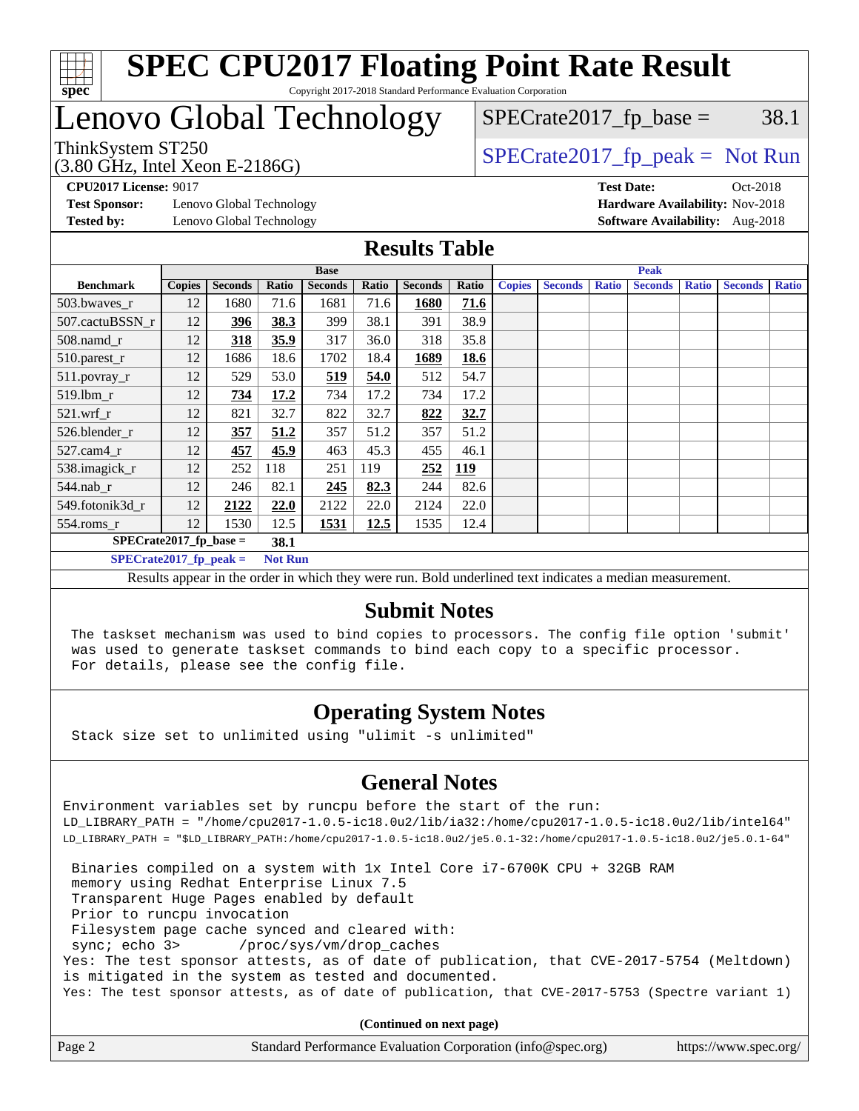

# Lenovo Global Technology

 $SPECTate2017<sub>fr</sub> peak = Not Run$  $SPECTate2017<sub>fr</sub> base = 38.1$ 

(3.80 GHz, Intel Xeon E-2186G)

**[Test Sponsor:](http://www.spec.org/auto/cpu2017/Docs/result-fields.html#TestSponsor)** Lenovo Global Technology **[Hardware Availability:](http://www.spec.org/auto/cpu2017/Docs/result-fields.html#HardwareAvailability)** Nov-2018 **[Tested by:](http://www.spec.org/auto/cpu2017/Docs/result-fields.html#Testedby)** Lenovo Global Technology **[Software Availability:](http://www.spec.org/auto/cpu2017/Docs/result-fields.html#SoftwareAvailability)** Aug-2018

**[CPU2017 License:](http://www.spec.org/auto/cpu2017/Docs/result-fields.html#CPU2017License)** 9017 **[Test Date:](http://www.spec.org/auto/cpu2017/Docs/result-fields.html#TestDate)** Oct-2018

### **[Results Table](http://www.spec.org/auto/cpu2017/Docs/result-fields.html#ResultsTable)**

|                          | <b>Base</b>   |                |                |                |       | <b>Peak</b>    |            |               |                |              |                |              |                |              |
|--------------------------|---------------|----------------|----------------|----------------|-------|----------------|------------|---------------|----------------|--------------|----------------|--------------|----------------|--------------|
| <b>Benchmark</b>         | <b>Copies</b> | <b>Seconds</b> | Ratio          | <b>Seconds</b> | Ratio | <b>Seconds</b> | Ratio      | <b>Copies</b> | <b>Seconds</b> | <b>Ratio</b> | <b>Seconds</b> | <b>Ratio</b> | <b>Seconds</b> | <b>Ratio</b> |
| 503.bwayes_r             | 12            | 1680           | 71.6           | 1681           | 71.6  | 1680           | 71.6       |               |                |              |                |              |                |              |
| 507.cactuBSSN r          | 12            | 396            | 38.3           | 399            | 38.1  | 391            | 38.9       |               |                |              |                |              |                |              |
| $508$ .namd $r$          | 12            | 318            | 35.9           | 317            | 36.0  | 318            | 35.8       |               |                |              |                |              |                |              |
| 510.parest_r             | 12            | 1686           | 18.6           | 1702           | 18.4  | 1689           | 18.6       |               |                |              |                |              |                |              |
| 511.povray_r             | 12            | 529            | 53.0           | 519            | 54.0  | 512            | 54.7       |               |                |              |                |              |                |              |
| 519.lbm r                | 12            | 734            | 17.2           | 734            | 17.2  | 734            | 17.2       |               |                |              |                |              |                |              |
| $521$ .wrf r             | 12            | 821            | 32.7           | 822            | 32.7  | 822            | 32.7       |               |                |              |                |              |                |              |
| 526.blender r            | 12            | 357            | 51.2           | 357            | 51.2  | 357            | 51.2       |               |                |              |                |              |                |              |
| $527.cam4_r$             | 12            | 457            | 45.9           | 463            | 45.3  | 455            | 46.1       |               |                |              |                |              |                |              |
| 538.imagick_r            | 12            | 252            | 118            | 251            | 119   | 252            | <b>119</b> |               |                |              |                |              |                |              |
| 544.nab r                | 12            | 246            | 82.1           | 245            | 82.3  | 244            | 82.6       |               |                |              |                |              |                |              |
| 549.fotonik3d r          | 12            | 2122           | 22.0           | 2122           | 22.0  | 2124           | 22.0       |               |                |              |                |              |                |              |
| $554$ .roms_r            | 12            | 1530           | 12.5           | 1531           | 12.5  | 1535           | 12.4       |               |                |              |                |              |                |              |
| $SPECrate2017$ fp base = |               |                | 38.1           |                |       |                |            |               |                |              |                |              |                |              |
| $SPECrate2017$ fp peak = |               |                | <b>Not Run</b> |                |       |                |            |               |                |              |                |              |                |              |

Results appear in the [order in which they were run.](http://www.spec.org/auto/cpu2017/Docs/result-fields.html#RunOrder) Bold underlined text [indicates a median measurement.](http://www.spec.org/auto/cpu2017/Docs/result-fields.html#Median)

#### **[Submit Notes](http://www.spec.org/auto/cpu2017/Docs/result-fields.html#SubmitNotes)**

 The taskset mechanism was used to bind copies to processors. The config file option 'submit' was used to generate taskset commands to bind each copy to a specific processor. For details, please see the config file.

### **[Operating System Notes](http://www.spec.org/auto/cpu2017/Docs/result-fields.html#OperatingSystemNotes)**

Stack size set to unlimited using "ulimit -s unlimited"

### **[General Notes](http://www.spec.org/auto/cpu2017/Docs/result-fields.html#GeneralNotes)**

Environment variables set by runcpu before the start of the run: LD\_LIBRARY\_PATH = "/home/cpu2017-1.0.5-ic18.0u2/lib/ia32:/home/cpu2017-1.0.5-ic18.0u2/lib/intel64" LD\_LIBRARY\_PATH = "\$LD\_LIBRARY\_PATH:/home/cpu2017-1.0.5-ic18.0u2/je5.0.1-32:/home/cpu2017-1.0.5-ic18.0u2/je5.0.1-64"

 Binaries compiled on a system with 1x Intel Core i7-6700K CPU + 32GB RAM memory using Redhat Enterprise Linux 7.5 Transparent Huge Pages enabled by default Prior to runcpu invocation Filesystem page cache synced and cleared with: sync; echo 3> /proc/sys/vm/drop\_caches Yes: The test sponsor attests, as of date of publication, that CVE-2017-5754 (Meltdown) is mitigated in the system as tested and documented. Yes: The test sponsor attests, as of date of publication, that CVE-2017-5753 (Spectre variant 1)

**(Continued on next page)**

| Page 2 | Standard Performance Evaluation Corporation (info@spec.org) | https://www.spec.org/ |
|--------|-------------------------------------------------------------|-----------------------|
|--------|-------------------------------------------------------------|-----------------------|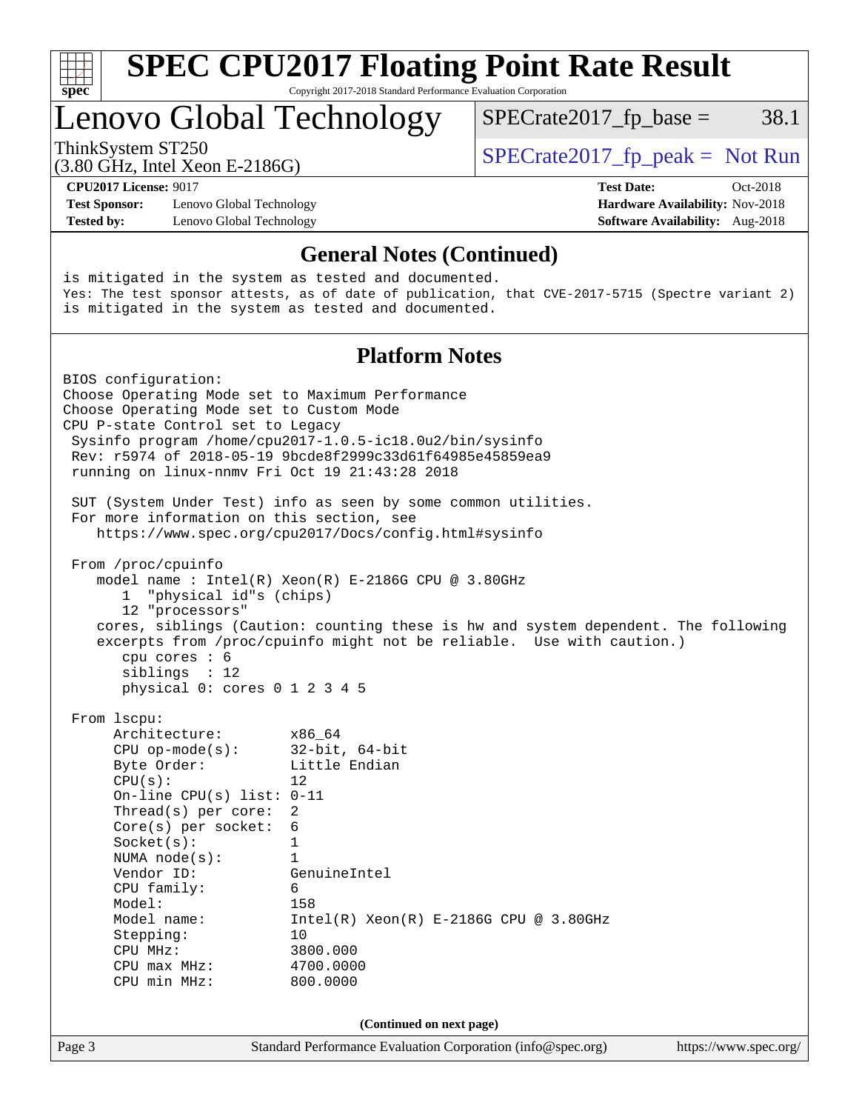| S<br>Dе |  |  |  |  |  |  |
|---------|--|--|--|--|--|--|

# **[SPEC CPU2017 Floating Point Rate Result](http://www.spec.org/auto/cpu2017/Docs/result-fields.html#SPECCPU2017FloatingPointRateResult)**

Copyright 2017-2018 Standard Performance Evaluation Corporation

# Lenovo Global Technology

ThinkSystem ST250  $SPECrate2017$  fp\_peak = Not Run

 $SPECTate2017<sub>fr</sub> base = 38.1$ 

(3.80 GHz, Intel Xeon E-2186G)

**[Test Sponsor:](http://www.spec.org/auto/cpu2017/Docs/result-fields.html#TestSponsor)** Lenovo Global Technology **[Hardware Availability:](http://www.spec.org/auto/cpu2017/Docs/result-fields.html#HardwareAvailability)** Nov-2018 **[Tested by:](http://www.spec.org/auto/cpu2017/Docs/result-fields.html#Testedby)** Lenovo Global Technology **[Software Availability:](http://www.spec.org/auto/cpu2017/Docs/result-fields.html#SoftwareAvailability)** Aug-2018

**[CPU2017 License:](http://www.spec.org/auto/cpu2017/Docs/result-fields.html#CPU2017License)** 9017 **[Test Date:](http://www.spec.org/auto/cpu2017/Docs/result-fields.html#TestDate)** Oct-2018

### **[General Notes \(Continued\)](http://www.spec.org/auto/cpu2017/Docs/result-fields.html#GeneralNotes)**

is mitigated in the system as tested and documented. Yes: The test sponsor attests, as of date of publication, that CVE-2017-5715 (Spectre variant 2) is mitigated in the system as tested and documented.

#### **[Platform Notes](http://www.spec.org/auto/cpu2017/Docs/result-fields.html#PlatformNotes)**

Page 3 Standard Performance Evaluation Corporation [\(info@spec.org\)](mailto:info@spec.org) <https://www.spec.org/> BIOS configuration: Choose Operating Mode set to Maximum Performance Choose Operating Mode set to Custom Mode CPU P-state Control set to Legacy Sysinfo program /home/cpu2017-1.0.5-ic18.0u2/bin/sysinfo Rev: r5974 of 2018-05-19 9bcde8f2999c33d61f64985e45859ea9 running on linux-nnmv Fri Oct 19 21:43:28 2018 SUT (System Under Test) info as seen by some common utilities. For more information on this section, see <https://www.spec.org/cpu2017/Docs/config.html#sysinfo> From /proc/cpuinfo model name : Intel(R) Xeon(R) E-2186G CPU @ 3.80GHz 1 "physical id"s (chips) 12 "processors" cores, siblings (Caution: counting these is hw and system dependent. The following excerpts from /proc/cpuinfo might not be reliable. Use with caution.) cpu cores : 6 siblings : 12 physical 0: cores 0 1 2 3 4 5 From lscpu: Architecture: x86\_64 CPU op-mode(s): 32-bit, 64-bit Byte Order: Little Endian  $CPU(s):$  12 On-line CPU(s) list: 0-11 Thread(s) per core: 2 Core(s) per socket: 6 Socket(s): 1 NUMA node(s): 1 Vendor ID: GenuineIntel CPU family: 6 Model: 158<br>Model name: 1158  $Intel(R)$  Xeon(R) E-2186G CPU @ 3.80GHz Stepping: 10 CPU MHz: 3800.000 CPU max MHz: 4700.0000 CPU min MHz: 800.0000 **(Continued on next page)**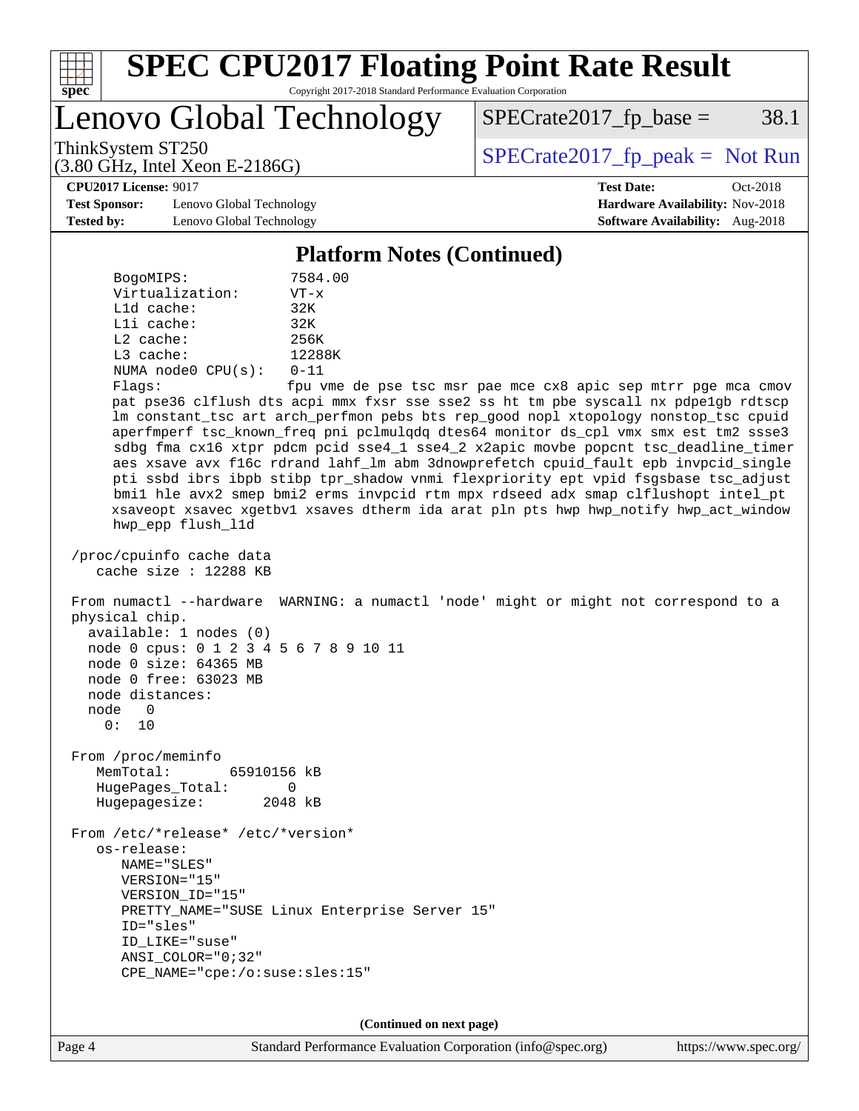

Lenovo Global Technology

 $SPECTate2017<sub>fr</sub> base = 38.1$ 

(3.80 GHz, Intel Xeon E-2186G)

ThinkSystem ST250  $SPECrate2017$  fp\_peak = Not Run

**[CPU2017 License:](http://www.spec.org/auto/cpu2017/Docs/result-fields.html#CPU2017License)** 9017 **[Test Date:](http://www.spec.org/auto/cpu2017/Docs/result-fields.html#TestDate)** Oct-2018

**[Test Sponsor:](http://www.spec.org/auto/cpu2017/Docs/result-fields.html#TestSponsor)** Lenovo Global Technology **[Hardware Availability:](http://www.spec.org/auto/cpu2017/Docs/result-fields.html#HardwareAvailability)** Nov-2018 **[Tested by:](http://www.spec.org/auto/cpu2017/Docs/result-fields.html#Testedby)** Lenovo Global Technology **[Software Availability:](http://www.spec.org/auto/cpu2017/Docs/result-fields.html#SoftwareAvailability)** Aug-2018

**[Platform Notes \(Continued\)](http://www.spec.org/auto/cpu2017/Docs/result-fields.html#PlatformNotes)**

| 7584.00  |
|----------|
| $VT - x$ |
| 32K      |
| 32K      |
| 256K     |
| 12288K   |
| $0 - 11$ |
| fpu vme  |
|          |

de pse tsc msr pae mce cx8 apic sep mtrr pge mca cmov pat pse36 clflush dts acpi mmx fxsr sse sse2 ss ht tm pbe syscall nx pdpe1gb rdtscp lm constant\_tsc art arch\_perfmon pebs bts rep\_good nopl xtopology nonstop\_tsc cpuid aperfmperf tsc\_known\_freq pni pclmulqdq dtes64 monitor ds\_cpl vmx smx est tm2 ssse3 sdbg fma cx16 xtpr pdcm pcid sse4\_1 sse4\_2 x2apic movbe popcnt tsc\_deadline\_timer aes xsave avx f16c rdrand lahf\_lm abm 3dnowprefetch cpuid\_fault epb invpcid\_single pti ssbd ibrs ibpb stibp tpr\_shadow vnmi flexpriority ept vpid fsgsbase tsc\_adjust bmi1 hle avx2 smep bmi2 erms invpcid rtm mpx rdseed adx smap clflushopt intel\_pt xsaveopt xsavec xgetbv1 xsaves dtherm ida arat pln pts hwp hwp\_notify hwp\_act\_window hwp\_epp flush\_l1d

 /proc/cpuinfo cache data cache size : 12288 KB

 From numactl --hardware WARNING: a numactl 'node' might or might not correspond to a physical chip. available: 1 nodes (0) node 0 cpus: 0 1 2 3 4 5 6 7 8 9 10 11 node 0 size: 64365 MB

 node 0 free: 63023 MB node distances: node 0

0: 10

 From /proc/meminfo MemTotal: 65910156 kB HugePages\_Total: 0 Hugepagesize: 2048 kB

 From /etc/\*release\* /etc/\*version\* os-release: NAME="SLES" VERSION="15" VERSION\_ID="15" PRETTY\_NAME="SUSE Linux Enterprise Server 15" ID="sles" ID\_LIKE="suse" ANSI\_COLOR="0;32" CPE\_NAME="cpe:/o:suse:sles:15"

**(Continued on next page)**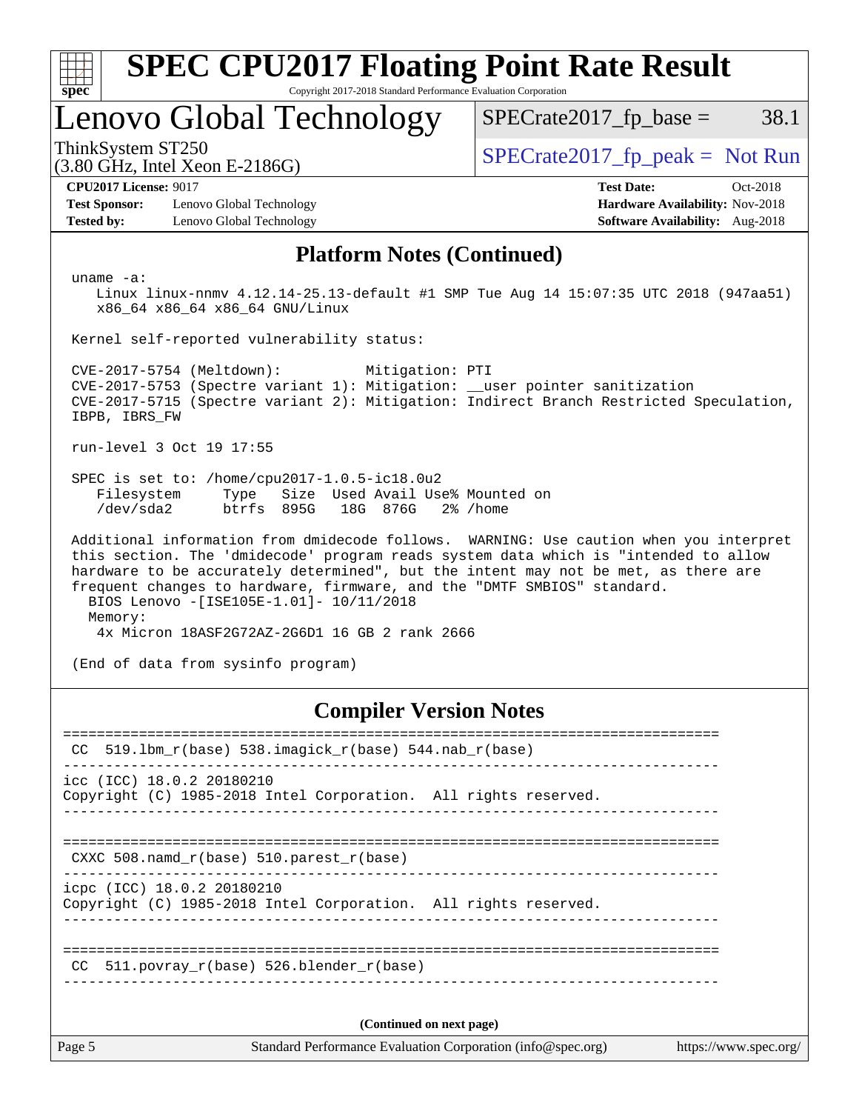| <b>SPEC CPU2017 Floating Point Rate Result</b>                                                                                                                                                                                                                                                                                                                                                                                                        |                                                                                                       |  |  |  |  |  |
|-------------------------------------------------------------------------------------------------------------------------------------------------------------------------------------------------------------------------------------------------------------------------------------------------------------------------------------------------------------------------------------------------------------------------------------------------------|-------------------------------------------------------------------------------------------------------|--|--|--|--|--|
| Copyright 2017-2018 Standard Performance Evaluation Corporation<br>spec <sup>®</sup><br>Lenovo Global Technology                                                                                                                                                                                                                                                                                                                                      | $SPECTate2017_fp\_base =$<br>38.1                                                                     |  |  |  |  |  |
| ThinkSystem ST250<br>$(3.80 \text{ GHz}, \text{Intel Xeon E-2186G})$                                                                                                                                                                                                                                                                                                                                                                                  | $SPECrate2017_fp\_peak = Not Run$                                                                     |  |  |  |  |  |
| <b>CPU2017 License: 9017</b><br><b>Test Sponsor:</b><br>Lenovo Global Technology<br><b>Tested by:</b><br>Lenovo Global Technology                                                                                                                                                                                                                                                                                                                     | <b>Test Date:</b><br>$Oct-2018$<br>Hardware Availability: Nov-2018<br>Software Availability: Aug-2018 |  |  |  |  |  |
| <b>Platform Notes (Continued)</b>                                                                                                                                                                                                                                                                                                                                                                                                                     |                                                                                                       |  |  |  |  |  |
| $uname -a$ :<br>Linux linux-nnmv 4.12.14-25.13-default #1 SMP Tue Aug 14 15:07:35 UTC 2018 (947aa51)<br>x86 64 x86 64 x86 64 GNU/Linux                                                                                                                                                                                                                                                                                                                |                                                                                                       |  |  |  |  |  |
| Kernel self-reported vulnerability status:                                                                                                                                                                                                                                                                                                                                                                                                            |                                                                                                       |  |  |  |  |  |
| CVE-2017-5754 (Meltdown):<br>Mitigation: PTI<br>CVE-2017-5753 (Spectre variant 1): Mitigation: __user pointer sanitization<br>CVE-2017-5715 (Spectre variant 2): Mitigation: Indirect Branch Restricted Speculation,<br>IBPB, IBRS_FW                                                                                                                                                                                                                 |                                                                                                       |  |  |  |  |  |
| run-level 3 Oct 19 17:55                                                                                                                                                                                                                                                                                                                                                                                                                              |                                                                                                       |  |  |  |  |  |
| SPEC is set to: /home/cpu2017-1.0.5-ic18.0u2<br>Size Used Avail Use% Mounted on<br>Filesystem<br>Type<br>btrfs 895G<br>/dev/sda2<br>18G 876G<br>$2\%$ /home                                                                                                                                                                                                                                                                                           |                                                                                                       |  |  |  |  |  |
| Additional information from dmidecode follows. WARNING: Use caution when you interpret<br>this section. The 'dmidecode' program reads system data which is "intended to allow<br>hardware to be accurately determined", but the intent may not be met, as there are<br>frequent changes to hardware, firmware, and the "DMTF SMBIOS" standard.<br>BIOS Lenovo -[ISE105E-1.01]- 10/11/2018<br>Memory:<br>4x Micron 18ASF2G72AZ-2G6D1 16 GB 2 rank 2666 |                                                                                                       |  |  |  |  |  |
| (End of data from sysinfo program)                                                                                                                                                                                                                                                                                                                                                                                                                    |                                                                                                       |  |  |  |  |  |
| <b>Compiler Version Notes</b>                                                                                                                                                                                                                                                                                                                                                                                                                         |                                                                                                       |  |  |  |  |  |
| CC                                                                                                                                                                                                                                                                                                                                                                                                                                                    |                                                                                                       |  |  |  |  |  |
| icc (ICC) 18.0.2 20180210<br>Copyright (C) 1985-2018 Intel Corporation. All rights reserved.                                                                                                                                                                                                                                                                                                                                                          |                                                                                                       |  |  |  |  |  |

==============================================================================

 CXXC 508.namd\_r(base) 510.parest\_r(base) ------------------------------------------------------------------------------

icpc (ICC) 18.0.2 20180210

Copyright (C) 1985-2018 Intel Corporation. All rights reserved. ------------------------------------------------------------------------------

============================================================================== CC 511.povray\_r(base) 526.blender\_r(base)

------------------------------------------------------------------------------

**(Continued on next page)**

------------------------------------------------------------------------------

Page 5 Standard Performance Evaluation Corporation [\(info@spec.org\)](mailto:info@spec.org) <https://www.spec.org/>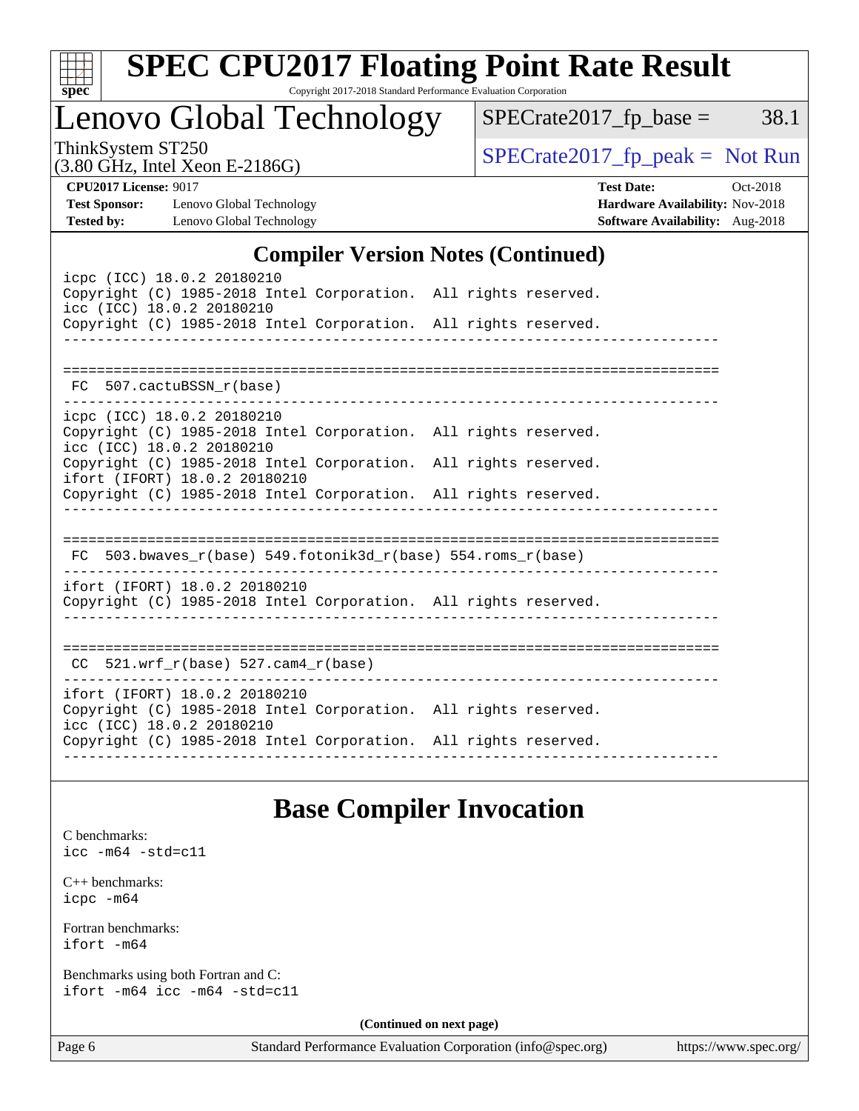| S<br>e<br>U |  |  |  |  |  |
|-------------|--|--|--|--|--|

# **[SPEC CPU2017 Floating Point Rate Result](http://www.spec.org/auto/cpu2017/Docs/result-fields.html#SPECCPU2017FloatingPointRateResult)**

Copyright 2017-2018 Standard Performance Evaluation Corporation

# Lenovo Global Technology

(3.80 GHz, Intel Xeon E-2186G)

 $SPECrate2017_fp\_peak = Not Run$ 

 $SPECTate2017<sub>fr</sub> base = 38.1$ 

**[CPU2017 License:](http://www.spec.org/auto/cpu2017/Docs/result-fields.html#CPU2017License)** 9017 **[Test Date:](http://www.spec.org/auto/cpu2017/Docs/result-fields.html#TestDate)** Oct-2018

**[Test Sponsor:](http://www.spec.org/auto/cpu2017/Docs/result-fields.html#TestSponsor)** Lenovo Global Technology **[Hardware Availability:](http://www.spec.org/auto/cpu2017/Docs/result-fields.html#HardwareAvailability)** Nov-2018 **[Tested by:](http://www.spec.org/auto/cpu2017/Docs/result-fields.html#Testedby)** Lenovo Global Technology **[Software Availability:](http://www.spec.org/auto/cpu2017/Docs/result-fields.html#SoftwareAvailability)** Aug-2018

### **[Compiler Version Notes \(Continued\)](http://www.spec.org/auto/cpu2017/Docs/result-fields.html#CompilerVersionNotes)**

| icpc (ICC) 18.0.2 20180210<br>Copyright (C) 1985-2018 Intel Corporation. All rights reserved.<br>icc (ICC) 18.0.2 20180210<br>Copyright (C) 1985-2018 Intel Corporation. All rights reserved.    |  |  |
|--------------------------------------------------------------------------------------------------------------------------------------------------------------------------------------------------|--|--|
| FC 507.cactuBSSN_r(base)                                                                                                                                                                         |  |  |
| icpc (ICC) 18.0.2 20180210<br>Copyright (C) 1985-2018 Intel Corporation. All rights reserved.<br>icc (ICC) 18.0.2 20180210                                                                       |  |  |
| Copyright (C) 1985-2018 Intel Corporation. All rights reserved.<br>ifort (IFORT) 18.0.2 20180210<br>Copyright (C) 1985-2018 Intel Corporation. All rights reserved.                              |  |  |
| FC $503.bwaves_r(base) 549.fotonik3d_r(base) 554.roms_r(base)$                                                                                                                                   |  |  |
| ifort (IFORT) 18.0.2 20180210<br>Copyright (C) 1985-2018 Intel Corporation. All rights reserved.                                                                                                 |  |  |
| CC $521.$ wrf r(base) 527.cam4 r(base)                                                                                                                                                           |  |  |
| ifort (IFORT) 18.0.2 20180210<br>Copyright (C) 1985-2018 Intel Corporation. All rights reserved.<br>icc (ICC) 18.0.2 20180210<br>Copyright (C) 1985-2018 Intel Corporation. All rights reserved. |  |  |
|                                                                                                                                                                                                  |  |  |

### **[Base Compiler Invocation](http://www.spec.org/auto/cpu2017/Docs/result-fields.html#BaseCompilerInvocation)**

[C benchmarks](http://www.spec.org/auto/cpu2017/Docs/result-fields.html#Cbenchmarks): [icc -m64 -std=c11](http://www.spec.org/cpu2017/results/res2018q4/cpu2017-20181029-09391.flags.html#user_CCbase_intel_icc_64bit_c11_33ee0cdaae7deeeab2a9725423ba97205ce30f63b9926c2519791662299b76a0318f32ddfffdc46587804de3178b4f9328c46fa7c2b0cd779d7a61945c91cd35)

[C++ benchmarks:](http://www.spec.org/auto/cpu2017/Docs/result-fields.html#CXXbenchmarks) [icpc -m64](http://www.spec.org/cpu2017/results/res2018q4/cpu2017-20181029-09391.flags.html#user_CXXbase_intel_icpc_64bit_4ecb2543ae3f1412ef961e0650ca070fec7b7afdcd6ed48761b84423119d1bf6bdf5cad15b44d48e7256388bc77273b966e5eb805aefd121eb22e9299b2ec9d9)

[Fortran benchmarks](http://www.spec.org/auto/cpu2017/Docs/result-fields.html#Fortranbenchmarks): [ifort -m64](http://www.spec.org/cpu2017/results/res2018q4/cpu2017-20181029-09391.flags.html#user_FCbase_intel_ifort_64bit_24f2bb282fbaeffd6157abe4f878425411749daecae9a33200eee2bee2fe76f3b89351d69a8130dd5949958ce389cf37ff59a95e7a40d588e8d3a57e0c3fd751)

[Benchmarks using both Fortran and C](http://www.spec.org/auto/cpu2017/Docs/result-fields.html#BenchmarksusingbothFortranandC): [ifort -m64](http://www.spec.org/cpu2017/results/res2018q4/cpu2017-20181029-09391.flags.html#user_CC_FCbase_intel_ifort_64bit_24f2bb282fbaeffd6157abe4f878425411749daecae9a33200eee2bee2fe76f3b89351d69a8130dd5949958ce389cf37ff59a95e7a40d588e8d3a57e0c3fd751) [icc -m64 -std=c11](http://www.spec.org/cpu2017/results/res2018q4/cpu2017-20181029-09391.flags.html#user_CC_FCbase_intel_icc_64bit_c11_33ee0cdaae7deeeab2a9725423ba97205ce30f63b9926c2519791662299b76a0318f32ddfffdc46587804de3178b4f9328c46fa7c2b0cd779d7a61945c91cd35)

**(Continued on next page)**

Page 6 Standard Performance Evaluation Corporation [\(info@spec.org\)](mailto:info@spec.org) <https://www.spec.org/>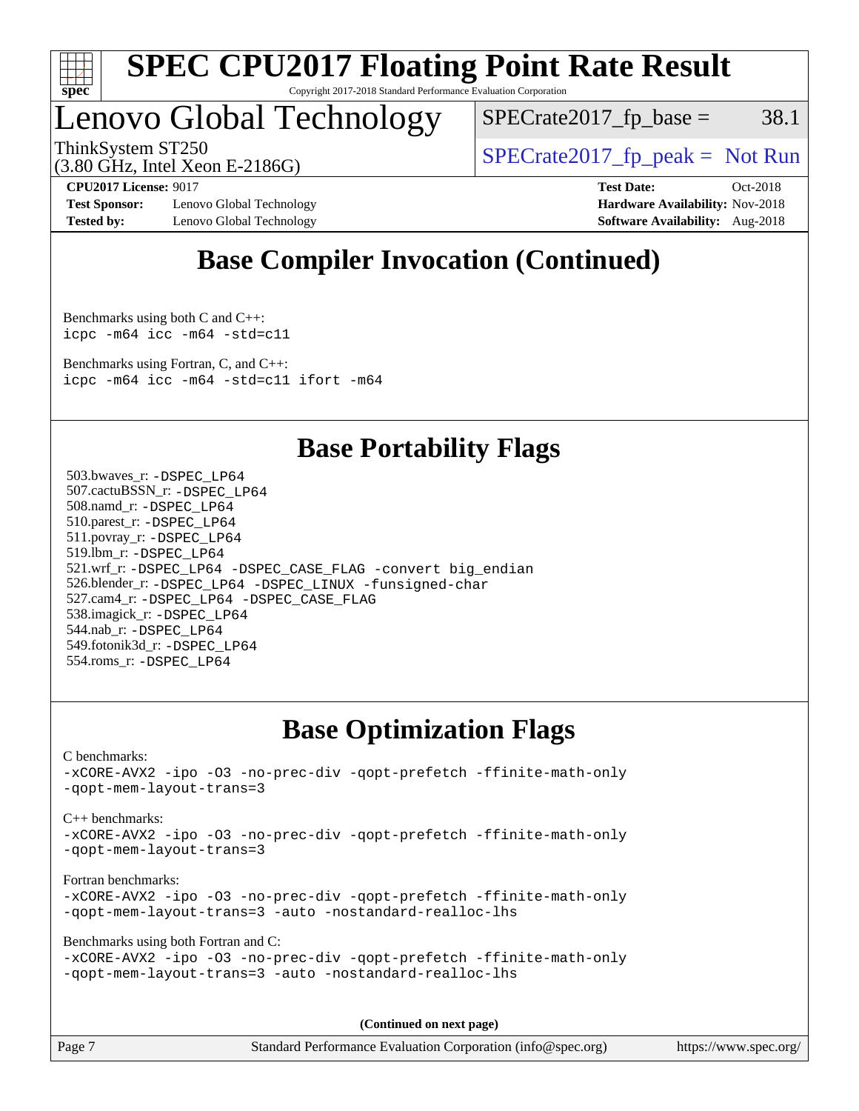

# Lenovo Global Technology

 $SPECTate2017<sub>fr</sub> base = 38.1$ 

ThinkSystem ST250  $SPECrate2017$  fp\_peak = Not Run

(3.80 GHz, Intel Xeon E-2186G)

**[Test Sponsor:](http://www.spec.org/auto/cpu2017/Docs/result-fields.html#TestSponsor)** Lenovo Global Technology **[Hardware Availability:](http://www.spec.org/auto/cpu2017/Docs/result-fields.html#HardwareAvailability)** Nov-2018 **[Tested by:](http://www.spec.org/auto/cpu2017/Docs/result-fields.html#Testedby)** Lenovo Global Technology **[Software Availability:](http://www.spec.org/auto/cpu2017/Docs/result-fields.html#SoftwareAvailability)** Aug-2018

**[CPU2017 License:](http://www.spec.org/auto/cpu2017/Docs/result-fields.html#CPU2017License)** 9017 **[Test Date:](http://www.spec.org/auto/cpu2017/Docs/result-fields.html#TestDate)** Oct-2018

### **[Base Compiler Invocation \(Continued\)](http://www.spec.org/auto/cpu2017/Docs/result-fields.html#BaseCompilerInvocation)**

[Benchmarks using both C and C++](http://www.spec.org/auto/cpu2017/Docs/result-fields.html#BenchmarksusingbothCandCXX): [icpc -m64](http://www.spec.org/cpu2017/results/res2018q4/cpu2017-20181029-09391.flags.html#user_CC_CXXbase_intel_icpc_64bit_4ecb2543ae3f1412ef961e0650ca070fec7b7afdcd6ed48761b84423119d1bf6bdf5cad15b44d48e7256388bc77273b966e5eb805aefd121eb22e9299b2ec9d9) [icc -m64 -std=c11](http://www.spec.org/cpu2017/results/res2018q4/cpu2017-20181029-09391.flags.html#user_CC_CXXbase_intel_icc_64bit_c11_33ee0cdaae7deeeab2a9725423ba97205ce30f63b9926c2519791662299b76a0318f32ddfffdc46587804de3178b4f9328c46fa7c2b0cd779d7a61945c91cd35)

[Benchmarks using Fortran, C, and C++:](http://www.spec.org/auto/cpu2017/Docs/result-fields.html#BenchmarksusingFortranCandCXX) [icpc -m64](http://www.spec.org/cpu2017/results/res2018q4/cpu2017-20181029-09391.flags.html#user_CC_CXX_FCbase_intel_icpc_64bit_4ecb2543ae3f1412ef961e0650ca070fec7b7afdcd6ed48761b84423119d1bf6bdf5cad15b44d48e7256388bc77273b966e5eb805aefd121eb22e9299b2ec9d9) [icc -m64 -std=c11](http://www.spec.org/cpu2017/results/res2018q4/cpu2017-20181029-09391.flags.html#user_CC_CXX_FCbase_intel_icc_64bit_c11_33ee0cdaae7deeeab2a9725423ba97205ce30f63b9926c2519791662299b76a0318f32ddfffdc46587804de3178b4f9328c46fa7c2b0cd779d7a61945c91cd35) [ifort -m64](http://www.spec.org/cpu2017/results/res2018q4/cpu2017-20181029-09391.flags.html#user_CC_CXX_FCbase_intel_ifort_64bit_24f2bb282fbaeffd6157abe4f878425411749daecae9a33200eee2bee2fe76f3b89351d69a8130dd5949958ce389cf37ff59a95e7a40d588e8d3a57e0c3fd751)

### **[Base Portability Flags](http://www.spec.org/auto/cpu2017/Docs/result-fields.html#BasePortabilityFlags)**

 503.bwaves\_r: [-DSPEC\\_LP64](http://www.spec.org/cpu2017/results/res2018q4/cpu2017-20181029-09391.flags.html#suite_basePORTABILITY503_bwaves_r_DSPEC_LP64) 507.cactuBSSN\_r: [-DSPEC\\_LP64](http://www.spec.org/cpu2017/results/res2018q4/cpu2017-20181029-09391.flags.html#suite_basePORTABILITY507_cactuBSSN_r_DSPEC_LP64) 508.namd\_r: [-DSPEC\\_LP64](http://www.spec.org/cpu2017/results/res2018q4/cpu2017-20181029-09391.flags.html#suite_basePORTABILITY508_namd_r_DSPEC_LP64) 510.parest\_r: [-DSPEC\\_LP64](http://www.spec.org/cpu2017/results/res2018q4/cpu2017-20181029-09391.flags.html#suite_basePORTABILITY510_parest_r_DSPEC_LP64) 511.povray\_r: [-DSPEC\\_LP64](http://www.spec.org/cpu2017/results/res2018q4/cpu2017-20181029-09391.flags.html#suite_basePORTABILITY511_povray_r_DSPEC_LP64) 519.lbm\_r: [-DSPEC\\_LP64](http://www.spec.org/cpu2017/results/res2018q4/cpu2017-20181029-09391.flags.html#suite_basePORTABILITY519_lbm_r_DSPEC_LP64) 521.wrf\_r: [-DSPEC\\_LP64](http://www.spec.org/cpu2017/results/res2018q4/cpu2017-20181029-09391.flags.html#suite_basePORTABILITY521_wrf_r_DSPEC_LP64) [-DSPEC\\_CASE\\_FLAG](http://www.spec.org/cpu2017/results/res2018q4/cpu2017-20181029-09391.flags.html#b521.wrf_r_baseCPORTABILITY_DSPEC_CASE_FLAG) [-convert big\\_endian](http://www.spec.org/cpu2017/results/res2018q4/cpu2017-20181029-09391.flags.html#user_baseFPORTABILITY521_wrf_r_convert_big_endian_c3194028bc08c63ac5d04de18c48ce6d347e4e562e8892b8bdbdc0214820426deb8554edfa529a3fb25a586e65a3d812c835984020483e7e73212c4d31a38223) 526.blender\_r: [-DSPEC\\_LP64](http://www.spec.org/cpu2017/results/res2018q4/cpu2017-20181029-09391.flags.html#suite_basePORTABILITY526_blender_r_DSPEC_LP64) [-DSPEC\\_LINUX](http://www.spec.org/cpu2017/results/res2018q4/cpu2017-20181029-09391.flags.html#b526.blender_r_baseCPORTABILITY_DSPEC_LINUX) [-funsigned-char](http://www.spec.org/cpu2017/results/res2018q4/cpu2017-20181029-09391.flags.html#user_baseCPORTABILITY526_blender_r_force_uchar_40c60f00ab013830e2dd6774aeded3ff59883ba5a1fc5fc14077f794d777847726e2a5858cbc7672e36e1b067e7e5c1d9a74f7176df07886a243d7cc18edfe67) 527.cam4\_r: [-DSPEC\\_LP64](http://www.spec.org/cpu2017/results/res2018q4/cpu2017-20181029-09391.flags.html#suite_basePORTABILITY527_cam4_r_DSPEC_LP64) [-DSPEC\\_CASE\\_FLAG](http://www.spec.org/cpu2017/results/res2018q4/cpu2017-20181029-09391.flags.html#b527.cam4_r_baseCPORTABILITY_DSPEC_CASE_FLAG) 538.imagick\_r: [-DSPEC\\_LP64](http://www.spec.org/cpu2017/results/res2018q4/cpu2017-20181029-09391.flags.html#suite_basePORTABILITY538_imagick_r_DSPEC_LP64) 544.nab\_r: [-DSPEC\\_LP64](http://www.spec.org/cpu2017/results/res2018q4/cpu2017-20181029-09391.flags.html#suite_basePORTABILITY544_nab_r_DSPEC_LP64) 549.fotonik3d\_r: [-DSPEC\\_LP64](http://www.spec.org/cpu2017/results/res2018q4/cpu2017-20181029-09391.flags.html#suite_basePORTABILITY549_fotonik3d_r_DSPEC_LP64) 554.roms\_r: [-DSPEC\\_LP64](http://www.spec.org/cpu2017/results/res2018q4/cpu2017-20181029-09391.flags.html#suite_basePORTABILITY554_roms_r_DSPEC_LP64)

### **[Base Optimization Flags](http://www.spec.org/auto/cpu2017/Docs/result-fields.html#BaseOptimizationFlags)**

[C benchmarks](http://www.spec.org/auto/cpu2017/Docs/result-fields.html#Cbenchmarks): [-xCORE-AVX2](http://www.spec.org/cpu2017/results/res2018q4/cpu2017-20181029-09391.flags.html#user_CCbase_f-xCORE-AVX2) [-ipo](http://www.spec.org/cpu2017/results/res2018q4/cpu2017-20181029-09391.flags.html#user_CCbase_f-ipo) [-O3](http://www.spec.org/cpu2017/results/res2018q4/cpu2017-20181029-09391.flags.html#user_CCbase_f-O3) [-no-prec-div](http://www.spec.org/cpu2017/results/res2018q4/cpu2017-20181029-09391.flags.html#user_CCbase_f-no-prec-div) [-qopt-prefetch](http://www.spec.org/cpu2017/results/res2018q4/cpu2017-20181029-09391.flags.html#user_CCbase_f-qopt-prefetch) [-ffinite-math-only](http://www.spec.org/cpu2017/results/res2018q4/cpu2017-20181029-09391.flags.html#user_CCbase_f_finite_math_only_cb91587bd2077682c4b38af759c288ed7c732db004271a9512da14a4f8007909a5f1427ecbf1a0fb78ff2a814402c6114ac565ca162485bbcae155b5e4258871) [-qopt-mem-layout-trans=3](http://www.spec.org/cpu2017/results/res2018q4/cpu2017-20181029-09391.flags.html#user_CCbase_f-qopt-mem-layout-trans_de80db37974c74b1f0e20d883f0b675c88c3b01e9d123adea9b28688d64333345fb62bc4a798493513fdb68f60282f9a726aa07f478b2f7113531aecce732043) [C++ benchmarks:](http://www.spec.org/auto/cpu2017/Docs/result-fields.html#CXXbenchmarks) [-xCORE-AVX2](http://www.spec.org/cpu2017/results/res2018q4/cpu2017-20181029-09391.flags.html#user_CXXbase_f-xCORE-AVX2) [-ipo](http://www.spec.org/cpu2017/results/res2018q4/cpu2017-20181029-09391.flags.html#user_CXXbase_f-ipo) [-O3](http://www.spec.org/cpu2017/results/res2018q4/cpu2017-20181029-09391.flags.html#user_CXXbase_f-O3) [-no-prec-div](http://www.spec.org/cpu2017/results/res2018q4/cpu2017-20181029-09391.flags.html#user_CXXbase_f-no-prec-div) [-qopt-prefetch](http://www.spec.org/cpu2017/results/res2018q4/cpu2017-20181029-09391.flags.html#user_CXXbase_f-qopt-prefetch) [-ffinite-math-only](http://www.spec.org/cpu2017/results/res2018q4/cpu2017-20181029-09391.flags.html#user_CXXbase_f_finite_math_only_cb91587bd2077682c4b38af759c288ed7c732db004271a9512da14a4f8007909a5f1427ecbf1a0fb78ff2a814402c6114ac565ca162485bbcae155b5e4258871) [-qopt-mem-layout-trans=3](http://www.spec.org/cpu2017/results/res2018q4/cpu2017-20181029-09391.flags.html#user_CXXbase_f-qopt-mem-layout-trans_de80db37974c74b1f0e20d883f0b675c88c3b01e9d123adea9b28688d64333345fb62bc4a798493513fdb68f60282f9a726aa07f478b2f7113531aecce732043) [Fortran benchmarks](http://www.spec.org/auto/cpu2017/Docs/result-fields.html#Fortranbenchmarks): [-xCORE-AVX2](http://www.spec.org/cpu2017/results/res2018q4/cpu2017-20181029-09391.flags.html#user_FCbase_f-xCORE-AVX2) [-ipo](http://www.spec.org/cpu2017/results/res2018q4/cpu2017-20181029-09391.flags.html#user_FCbase_f-ipo) [-O3](http://www.spec.org/cpu2017/results/res2018q4/cpu2017-20181029-09391.flags.html#user_FCbase_f-O3) [-no-prec-div](http://www.spec.org/cpu2017/results/res2018q4/cpu2017-20181029-09391.flags.html#user_FCbase_f-no-prec-div) [-qopt-prefetch](http://www.spec.org/cpu2017/results/res2018q4/cpu2017-20181029-09391.flags.html#user_FCbase_f-qopt-prefetch) [-ffinite-math-only](http://www.spec.org/cpu2017/results/res2018q4/cpu2017-20181029-09391.flags.html#user_FCbase_f_finite_math_only_cb91587bd2077682c4b38af759c288ed7c732db004271a9512da14a4f8007909a5f1427ecbf1a0fb78ff2a814402c6114ac565ca162485bbcae155b5e4258871) [-qopt-mem-layout-trans=3](http://www.spec.org/cpu2017/results/res2018q4/cpu2017-20181029-09391.flags.html#user_FCbase_f-qopt-mem-layout-trans_de80db37974c74b1f0e20d883f0b675c88c3b01e9d123adea9b28688d64333345fb62bc4a798493513fdb68f60282f9a726aa07f478b2f7113531aecce732043) [-auto](http://www.spec.org/cpu2017/results/res2018q4/cpu2017-20181029-09391.flags.html#user_FCbase_f-auto) [-nostandard-realloc-lhs](http://www.spec.org/cpu2017/results/res2018q4/cpu2017-20181029-09391.flags.html#user_FCbase_f_2003_std_realloc_82b4557e90729c0f113870c07e44d33d6f5a304b4f63d4c15d2d0f1fab99f5daaed73bdb9275d9ae411527f28b936061aa8b9c8f2d63842963b95c9dd6426b8a) [Benchmarks using both Fortran and C](http://www.spec.org/auto/cpu2017/Docs/result-fields.html#BenchmarksusingbothFortranandC): [-xCORE-AVX2](http://www.spec.org/cpu2017/results/res2018q4/cpu2017-20181029-09391.flags.html#user_CC_FCbase_f-xCORE-AVX2) [-ipo](http://www.spec.org/cpu2017/results/res2018q4/cpu2017-20181029-09391.flags.html#user_CC_FCbase_f-ipo) [-O3](http://www.spec.org/cpu2017/results/res2018q4/cpu2017-20181029-09391.flags.html#user_CC_FCbase_f-O3) [-no-prec-div](http://www.spec.org/cpu2017/results/res2018q4/cpu2017-20181029-09391.flags.html#user_CC_FCbase_f-no-prec-div) [-qopt-prefetch](http://www.spec.org/cpu2017/results/res2018q4/cpu2017-20181029-09391.flags.html#user_CC_FCbase_f-qopt-prefetch) [-ffinite-math-only](http://www.spec.org/cpu2017/results/res2018q4/cpu2017-20181029-09391.flags.html#user_CC_FCbase_f_finite_math_only_cb91587bd2077682c4b38af759c288ed7c732db004271a9512da14a4f8007909a5f1427ecbf1a0fb78ff2a814402c6114ac565ca162485bbcae155b5e4258871) [-qopt-mem-layout-trans=3](http://www.spec.org/cpu2017/results/res2018q4/cpu2017-20181029-09391.flags.html#user_CC_FCbase_f-qopt-mem-layout-trans_de80db37974c74b1f0e20d883f0b675c88c3b01e9d123adea9b28688d64333345fb62bc4a798493513fdb68f60282f9a726aa07f478b2f7113531aecce732043) [-auto](http://www.spec.org/cpu2017/results/res2018q4/cpu2017-20181029-09391.flags.html#user_CC_FCbase_f-auto) [-nostandard-realloc-lhs](http://www.spec.org/cpu2017/results/res2018q4/cpu2017-20181029-09391.flags.html#user_CC_FCbase_f_2003_std_realloc_82b4557e90729c0f113870c07e44d33d6f5a304b4f63d4c15d2d0f1fab99f5daaed73bdb9275d9ae411527f28b936061aa8b9c8f2d63842963b95c9dd6426b8a)

**(Continued on next page)**